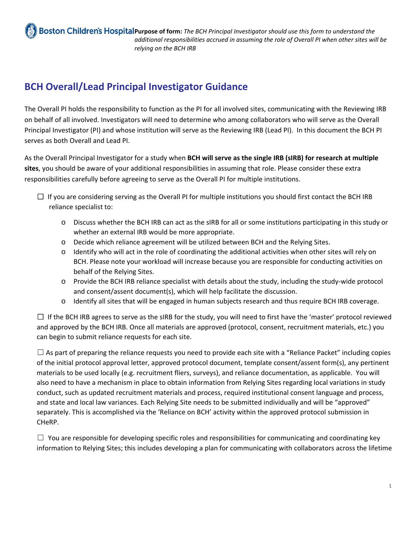**Boston Children's Hospital Purpose of form:** The BCH Principal Investigator should use this form to understand the *additional responsibilities accrued in assuming the role of Overall PI when other sites will be relying on the BCH IRB*

## **BCH Overall/Lead Principal Investigator Guidance**

The Overall PI holds the responsibility to function as the PI for all involved sites, communicating with the Reviewing IRB on behalf of all involved. Investigators will need to determine who among collaborators who will serve as the Overall Principal Investigator (PI) and whose institution will serve as the Reviewing IRB (Lead PI). In this document the BCH PI serves as both Overall and Lead PI.

As the Overall Principal Investigator for a study when **BCH will serve as the single IRB (sIRB) for research at multiple sites**, you should be aware of your additional responsibilities in assuming that role. Please consider these extra responsibilities carefully before agreeing to serve as the Overall PI for multiple institutions.

- $\Box$  If you are considering serving as the Overall PI for multiple institutions you should first contact the BCH IRB reliance specialist to:
	- o Discuss whether the BCH IRB can act as the sIRB for all or some institutions participating in this study or whether an external IRB would be more appropriate.
	- o Decide which reliance agreement will be utilized between BCH and the Relying Sites.
	- o Identify who will act in the role of coordinating the additional activities when other sites will rely on BCH. Please note your workload will increase because you are responsible for conducting activities on behalf of the Relying Sites.
	- o Provide the BCH IRB reliance specialist with details about the study, including the study‐wide protocol and consent/assent document(s), which will help facilitate the discussion.
	- o Identify all sites that will be engaged in human subjects research and thus require BCH IRB coverage.

☐ If the BCH IRB agrees to serve as the sIRB for the study, you will need to first have the 'master' protocol reviewed and approved by the BCH IRB. Once all materials are approved (protocol, consent, recruitment materials, etc.) you can begin to submit reliance requests for each site.

 $\Box$  As part of preparing the reliance requests you need to provide each site with a "Reliance Packet" including copies of the initial protocol approval letter, approved protocol document, template consent/assent form(s), any pertinent materials to be used locally (e.g. recruitment fliers, surveys), and reliance documentation, as applicable. You will also need to have a mechanism in place to obtain information from Relying Sites regarding local variations in study conduct, such as updated recruitment materials and process, required institutional consent language and process, and state and local law variances. Each Relying Site needs to be submitted individually and will be "approved" separately. This is accomplished via the 'Reliance on BCH' activity within the approved protocol submission in CHeRP.

 $\Box$  You are responsible for developing specific roles and responsibilities for communicating and coordinating key information to Relying Sites; this includes developing a plan for communicating with collaborators across the lifetime